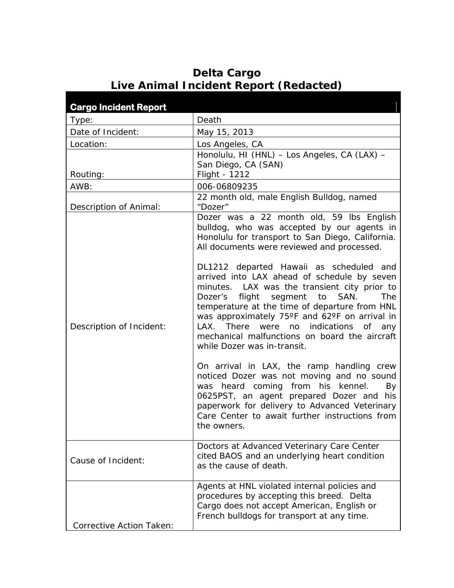## **Cargo Incident Report**  Type: Death Date of Incident: May 15, 2013 Location:  $\vert$  Los Angeles, CA Routing: Honolulu, HI (HNL) – Los Angeles, CA (LAX) – San Diego, CA (SAN) Flight - 1212 AWB: 006-06809235 Description of Animal: 22 month old, male English Bulldog, named "Dozer" Description of Incident: Dozer was a 22 month old, 59 lbs English bulldog, who was accepted by our agents in Honolulu for transport to San Diego, California. All documents were reviewed and processed. DL1212 departed Hawaii as scheduled and arrived into LAX ahead of schedule by seven minutes. LAX was the transient city prior to Dozer's flight segment to SAN. The temperature at the time of departure from HNL was approximately 75°F and 62°F on arrival in LAX. There were no indications of any mechanical malfunctions on board the aircraft while Dozer was in-transit. On arrival in LAX, the ramp handling crew noticed Dozer was not moving and no sound was heard coming from his kennel. By 0625PST, an agent prepared Dozer and his paperwork for delivery to Advanced Veterinary Care Center to await further instructions from the owners. Cause of Incident: Doctors at Advanced Veterinary Care Center cited BAOS and an underlying heart condition as the cause of death. Agents at HNL violated internal policies and procedures by accepting this breed. Delta Cargo does not accept American, English or

French bulldogs for transport at any time.

Corrective Action Taken:

## **Delta Cargo Live Animal Incident Report (Redacted)**